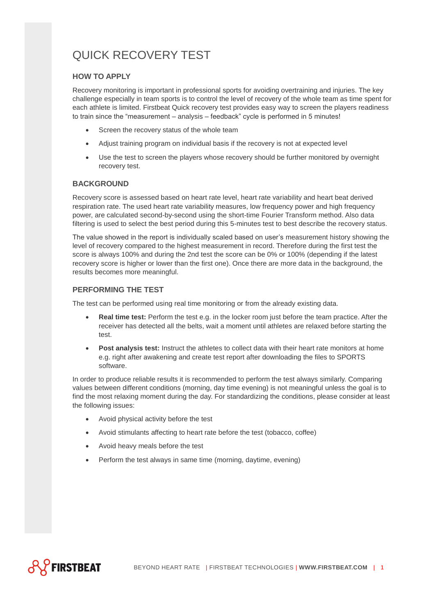# QUICK RECOVERY TEST

## **HOW TO APPLY**

Recovery monitoring is important in professional sports for avoiding overtraining and injuries. The key challenge especially in team sports is to control the level of recovery of the whole team as time spent for each athlete is limited. Firstbeat Quick recovery test provides easy way to screen the players readiness to train since the "measurement – analysis – feedback" cycle is performed in 5 minutes!

- Screen the recovery status of the whole team
- Adjust training program on individual basis if the recovery is not at expected level
- Use the test to screen the players whose recovery should be further monitored by overnight recovery test.

#### **BACKGROUND**

Recovery score is assessed based on heart rate level, heart rate variability and heart beat derived respiration rate. The used heart rate variability measures, low frequency power and high frequency power, are calculated second-by-second using the short-time Fourier Transform method. Also data filtering is used to select the best period during this 5-minutes test to best describe the recovery status.

The value showed in the report is individually scaled based on user's measurement history showing the level of recovery compared to the highest measurement in record. Therefore during the first test the score is always 100% and during the 2nd test the score can be 0% or 100% (depending if the latest recovery score is higher or lower than the first one). Once there are more data in the background, the results becomes more meaningful.

## **PERFORMING THE TEST**

The test can be performed using real time monitoring or from the already existing data.

- **Real time test:** Perform the test e.g. in the locker room just before the team practice. After the receiver has detected all the belts, wait a moment until athletes are relaxed before starting the test.
- **Post analysis test:** Instruct the athletes to collect data with their heart rate monitors at home e.g. right after awakening and create test report after downloading the files to SPORTS software.

In order to produce reliable results it is recommended to perform the test always similarly. Comparing values between different conditions (morning, day time evening) is not meaningful unless the goal is to find the most relaxing moment during the day. For standardizing the conditions, please consider at least the following issues:

- Avoid physical activity before the test
- Avoid stimulants affecting to heart rate before the test (tobacco, coffee)
- Avoid heavy meals before the test
- Perform the test always in same time (morning, daytime, evening)